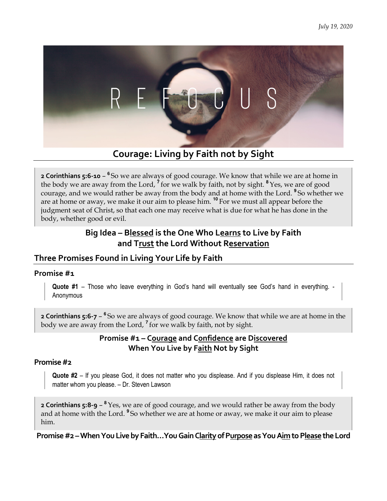

# **Courage: Living by Faith not by Sight by Sight**

**2 Corinthians 5:6-10 -** <sup>6</sup>So we are always of good courage. We know that while we are at home in **2 Corinthians 5:6-10 – °** So we are always of good courage. We know that while we are at home the body we are away from the Lord, <sup>7</sup> for we walk by faith, not by sight. <sup>8</sup> Yes, we are of good courage, and we would rather be away from the body and at home with the Lord. **<sup>9</sup>**So whether we courage, and we would rather be away from the body and at home with the Lord. **"**So whetl<br>are at home or away, we make it our aim to please him. <sup>10</sup> For we must all appear before the judgment seat of Christ, so that each one may receive what is due for what he has done in the body, whether good or evil.

## **Big Idea – Blessed lessed is the One Who Learns to Live by Faith and Trust rust the Lord Without Reservation**

### **Three Promises Found in Living Your Life by Faith Living Your**

#### **Promise #1**

Quote #1 - Those who leave everything in God's hand will eventually see God's hand in everything. -Anonymous

**2 Corinthians 5:6-7** – <sup>6</sup>So we are always of good courage. We know that while we are at home in the body we are away from the Lord, <sup>7</sup> for we walk by faith, not by sight. body we are away from the Lord,  $^7$  for we walk by faith, not by sight.

### **Promise #1 – – Courage and Confidence are Discovered When You Live by F by Faith Not by Sight**

#### **Promise #2**

Quote #2 - If you please God, it does not matter who you displease. And if you displease Him, it does not matter whom you please. – Dr. Steven Lawson

**2 Corinthians 5:8-9** – **<sup>8</sup>**Yes, we are of good courage, and we would rather be away from the body **2 Corinthians 5:8-9 – °** Yes, we are of good courage, and we would rather be away from the body<br>and at home with the Lord. <sup>9</sup> So whether we are at home or away, we make it our aim to please him.

Promise #2 – When You Live by Faith...You Gain C<u>larity</u> of P<u>urpose</u> as You A<u>im</u> to P<u>lease</u> the Lord